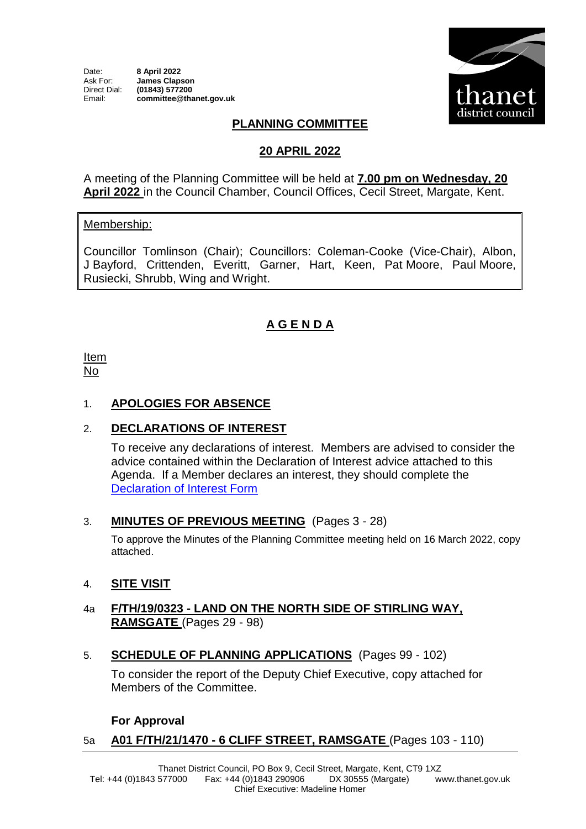

# **PLANNING COMMITTEE**

### **20 APRIL 2022**

A meeting of the Planning Committee will be held at **7.00 pm on Wednesday, 20 April 2022** in the Council Chamber, Council Offices, Cecil Street, Margate, Kent.

#### Membership:

Councillor Tomlinson (Chair); Councillors: Coleman-Cooke (Vice-Chair), Albon, J Bayford, Crittenden, Everitt, Garner, Hart, Keen, Pat Moore, Paul Moore, Rusiecki, Shrubb, Wing and Wright.

## **A G E N D A**

Item No

## 1. **APOLOGIES FOR ABSENCE**

## 2. **DECLARATIONS OF INTEREST**

To receive any declarations of interest. Members are advised to consider the advice contained within the Declaration of Interest advice attached to this Agenda. If a Member declares an interest, they should complete the [Declaration of Interest Form](https://docs.google.com/forms/d/e/1FAIpQLSdYy7shF1kh6tvdSh3acxVRm70cKPLFkRBFNyVx2TgejRcm4w/viewform?usp=sf_link) 

#### 3. **MINUTES OF PREVIOUS MEETING** (Pages 3 - 28)

To approve the Minutes of the Planning Committee meeting held on 16 March 2022, copy attached.

#### 4. **SITE VISIT**

#### 4a **F/TH/19/0323 - LAND ON THE NORTH SIDE OF STIRLING WAY, RAMSGATE** (Pages 29 - 98)

5. **SCHEDULE OF PLANNING APPLICATIONS** (Pages 99 - 102)

To consider the report of the Deputy Chief Executive, copy attached for Members of the Committee.

#### **For Approval**

## 5a **A01 F/TH/21/1470 - 6 CLIFF STREET, RAMSGATE** (Pages 103 - 110)